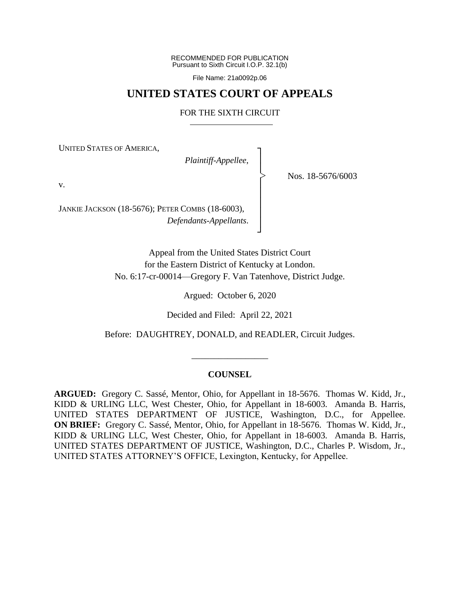RECOMMENDED FOR PUBLICATION Pursuant to Sixth Circuit I.O.P. 32.1(b)

File Name: 21a0092p.06

# **UNITED STATES COURT OF APPEALS**

# FOR THE SIXTH CIRCUIT

┐ │ │ │ │ │ │ │ ┘

|<br>|<br>|

UNITED STATES OF AMERICA,

*Plaintiff-Appellee*,

Nos. 18-5676/6003

v.

JANKIE JACKSON (18-5676); PETER COMBS (18-6003), *Defendants-Appellants*.

> Appeal from the United States District Court for the Eastern District of Kentucky at London. No. 6:17-cr-00014—Gregory F. Van Tatenhove, District Judge.

> > Argued: October 6, 2020

Decided and Filed: April 22, 2021

Before: DAUGHTREY, DONALD, and READLER, Circuit Judges.

\_\_\_\_\_\_\_\_\_\_\_\_\_\_\_\_\_

### **COUNSEL**

**ARGUED:** Gregory C. Sassé, Mentor, Ohio, for Appellant in 18-5676. Thomas W. Kidd, Jr., KIDD & URLING LLC, West Chester, Ohio, for Appellant in 18-6003. Amanda B. Harris, UNITED STATES DEPARTMENT OF JUSTICE, Washington, D.C., for Appellee. **ON BRIEF:** Gregory C. Sassé, Mentor, Ohio, for Appellant in 18-5676. Thomas W. Kidd, Jr., KIDD & URLING LLC, West Chester, Ohio, for Appellant in 18-6003. Amanda B. Harris, UNITED STATES DEPARTMENT OF JUSTICE, Washington, D.C., Charles P. Wisdom, Jr., UNITED STATES ATTORNEY'S OFFICE, Lexington, Kentucky, for Appellee.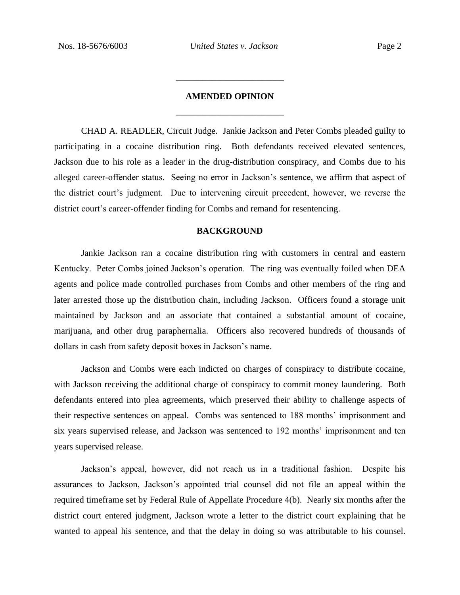# **AMENDED OPINION** \_\_\_\_\_\_\_\_\_\_\_\_\_\_\_\_\_\_\_\_\_\_\_\_

\_\_\_\_\_\_\_\_\_\_\_\_\_\_\_\_\_\_\_\_\_\_\_\_

CHAD A. READLER, Circuit Judge. Jankie Jackson and Peter Combs pleaded guilty to participating in a cocaine distribution ring. Both defendants received elevated sentences, Jackson due to his role as a leader in the drug-distribution conspiracy, and Combs due to his alleged career-offender status. Seeing no error in Jackson's sentence, we affirm that aspect of the district court's judgment. Due to intervening circuit precedent, however, we reverse the district court's career-offender finding for Combs and remand for resentencing.

#### **BACKGROUND**

Jankie Jackson ran a cocaine distribution ring with customers in central and eastern Kentucky. Peter Combs joined Jackson's operation. The ring was eventually foiled when DEA agents and police made controlled purchases from Combs and other members of the ring and later arrested those up the distribution chain, including Jackson. Officers found a storage unit maintained by Jackson and an associate that contained a substantial amount of cocaine, marijuana, and other drug paraphernalia. Officers also recovered hundreds of thousands of dollars in cash from safety deposit boxes in Jackson's name.

Jackson and Combs were each indicted on charges of conspiracy to distribute cocaine, with Jackson receiving the additional charge of conspiracy to commit money laundering. Both defendants entered into plea agreements, which preserved their ability to challenge aspects of their respective sentences on appeal. Combs was sentenced to 188 months' imprisonment and six years supervised release, and Jackson was sentenced to 192 months' imprisonment and ten years supervised release.

Jackson's appeal, however, did not reach us in a traditional fashion. Despite his assurances to Jackson, Jackson's appointed trial counsel did not file an appeal within the required timeframe set by Federal Rule of Appellate Procedure 4(b). Nearly six months after the district court entered judgment, Jackson wrote a letter to the district court explaining that he wanted to appeal his sentence, and that the delay in doing so was attributable to his counsel.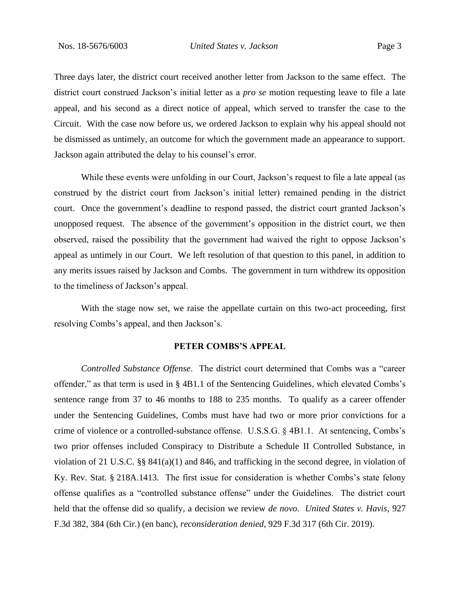Three days later, the district court received another letter from Jackson to the same effect. The district court construed Jackson's initial letter as a *pro se* motion requesting leave to file a late appeal, and his second as a direct notice of appeal, which served to transfer the case to the Circuit. With the case now before us, we ordered Jackson to explain why his appeal should not be dismissed as untimely, an outcome for which the government made an appearance to support. Jackson again attributed the delay to his counsel's error.

While these events were unfolding in our Court, Jackson's request to file a late appeal (as construed by the district court from Jackson's initial letter) remained pending in the district court. Once the government's deadline to respond passed, the district court granted Jackson's unopposed request. The absence of the government's opposition in the district court, we then observed, raised the possibility that the government had waived the right to oppose Jackson's appeal as untimely in our Court. We left resolution of that question to this panel, in addition to any merits issues raised by Jackson and Combs. The government in turn withdrew its opposition to the timeliness of Jackson's appeal.

With the stage now set, we raise the appellate curtain on this two-act proceeding, first resolving Combs's appeal, and then Jackson's.

# **PETER COMBS'S APPEAL**

*Controlled Substance Offense*. The district court determined that Combs was a "career offender," as that term is used in § 4B1.1 of the Sentencing Guidelines, which elevated Combs's sentence range from 37 to 46 months to 188 to 235 months. To qualify as a career offender under the Sentencing Guidelines, Combs must have had two or more prior convictions for a crime of violence or a controlled-substance offense. U.S.S.G. § 4B1.1. At sentencing, Combs's two prior offenses included Conspiracy to Distribute a Schedule II Controlled Substance, in violation of 21 U.S.C. §§ 841(a)(1) and 846, and trafficking in the second degree, in violation of Ky. Rev. Stat. § 218A.1413. The first issue for consideration is whether Combs's state felony offense qualifies as a "controlled substance offense" under the Guidelines. The district court held that the offense did so qualify, a decision we review *de novo*. *United States v. Havis*, 927 F.3d 382, 384 (6th Cir.) (en banc), *reconsideration denied*, 929 F.3d 317 (6th Cir. 2019).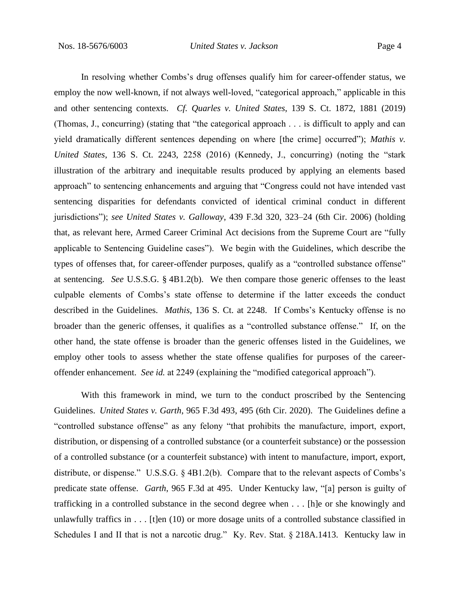In resolving whether Combs's drug offenses qualify him for career-offender status, we employ the now well-known, if not always well-loved, "categorical approach," applicable in this and other sentencing contexts. *Cf. Quarles v. United States*, 139 S. Ct. 1872, 1881 (2019) (Thomas, J., concurring) (stating that "the categorical approach . . . is difficult to apply and can yield dramatically different sentences depending on where [the crime] occurred"); *Mathis v. United States*, 136 S. Ct. 2243, 2258 (2016) (Kennedy, J., concurring) (noting the "stark illustration of the arbitrary and inequitable results produced by applying an elements based approach" to sentencing enhancements and arguing that "Congress could not have intended vast sentencing disparities for defendants convicted of identical criminal conduct in different jurisdictions"); *see United States v. Galloway*, 439 F.3d 320, 323–24 (6th Cir. 2006) (holding that, as relevant here, Armed Career Criminal Act decisions from the Supreme Court are "fully applicable to Sentencing Guideline cases"). We begin with the Guidelines, which describe the types of offenses that, for career-offender purposes, qualify as a "controlled substance offense" at sentencing. *See* U.S.S.G. § 4B1.2(b). We then compare those generic offenses to the least culpable elements of Combs's state offense to determine if the latter exceeds the conduct described in the Guidelines. *Mathis*, 136 S. Ct. at 2248.If Combs's Kentucky offense is no broader than the generic offenses, it qualifies as a "controlled substance offense." If, on the other hand, the state offense is broader than the generic offenses listed in the Guidelines, we employ other tools to assess whether the state offense qualifies for purposes of the careeroffender enhancement. *See id.* at 2249 (explaining the "modified categorical approach").

With this framework in mind, we turn to the conduct proscribed by the Sentencing Guidelines. *United States v. Garth*, 965 F.3d 493, 495 (6th Cir. 2020). The Guidelines define a "controlled substance offense" as any felony "that prohibits the manufacture, import, export, distribution, or dispensing of a controlled substance (or a counterfeit substance) or the possession of a controlled substance (or a counterfeit substance) with intent to manufacture, import, export, distribute, or dispense." U.S.S.G. § 4B1.2(b). Compare that to the relevant aspects of Combs's predicate state offense. *Garth*, 965 F.3d at 495. Under Kentucky law, "[a] person is guilty of trafficking in a controlled substance in the second degree when . . . [h]e or she knowingly and unlawfully traffics in . . . [t]en (10) or more dosage units of a controlled substance classified in Schedules I and II that is not a narcotic drug." Ky. Rev. Stat. § 218A.1413. Kentucky law in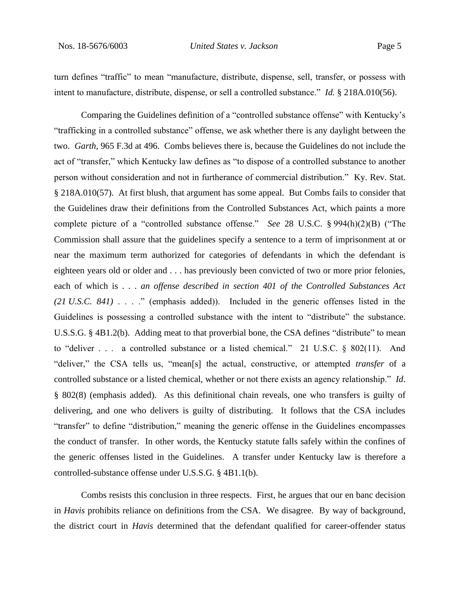turn defines "traffic" to mean "manufacture, distribute, dispense, sell, transfer, or possess with intent to manufacture, distribute, dispense, or sell a controlled substance." *Id.* § 218A.010(56).

Comparing the Guidelines definition of a "controlled substance offense" with Kentucky's "trafficking in a controlled substance" offense, we ask whether there is any daylight between the two. *Garth*, 965 F.3d at 496. Combs believes there is, because the Guidelines do not include the act of "transfer," which Kentucky law defines as "to dispose of a controlled substance to another person without consideration and not in furtherance of commercial distribution." Ky. Rev. Stat. § 218A.010(57). At first blush, that argument has some appeal. But Combs fails to consider that the Guidelines draw their definitions from the Controlled Substances Act, which paints a more complete picture of a "controlled substance offense." *See* 28 U.S.C. § 994(h)(2)(B) ("The Commission shall assure that the guidelines specify a sentence to a term of imprisonment at or near the maximum term authorized for categories of defendants in which the defendant is eighteen years old or older and . . . has previously been convicted of two or more prior felonies, each of which is . . . *an offense described in section 401 of the Controlled Substances Act (21 U.S.C. 841)* . . . ." (emphasis added)). Included in the generic offenses listed in the Guidelines is possessing a controlled substance with the intent to "distribute" the substance. U.S.S.G. § 4B1.2(b). Adding meat to that proverbial bone, the CSA defines "distribute" to mean to "deliver . . . a controlled substance or a listed chemical." 21 U.S.C. § 802(11). And "deliver," the CSA tells us, "mean[s] the actual, constructive, or attempted *transfer* of a controlled substance or a listed chemical, whether or not there exists an agency relationship." *Id*. § 802(8) (emphasis added). As this definitional chain reveals, one who transfers is guilty of delivering, and one who delivers is guilty of distributing. It follows that the CSA includes "transfer" to define "distribution," meaning the generic offense in the Guidelines encompasses the conduct of transfer. In other words, the Kentucky statute falls safely within the confines of the generic offenses listed in the Guidelines. A transfer under Kentucky law is therefore a controlled-substance offense under U.S.S.G. § 4B1.1(b).

Combs resists this conclusion in three respects. First, he argues that our en banc decision in *Havis* prohibits reliance on definitions from the CSA. We disagree. By way of background, the district court in *Havis* determined that the defendant qualified for career-offender status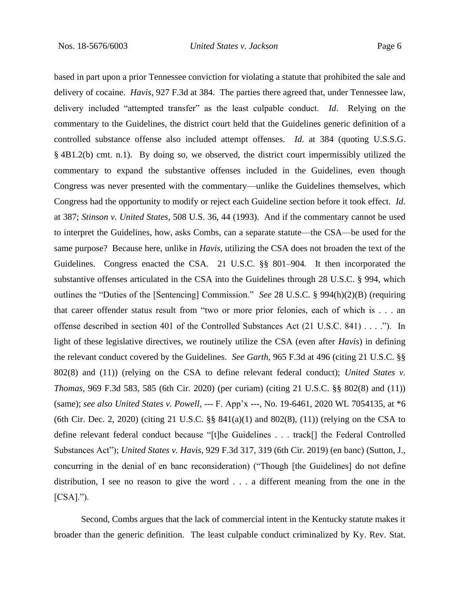based in part upon a prior Tennessee conviction for violating a statute that prohibited the sale and delivery of cocaine. *Havis*, 927 F.3d at 384. The parties there agreed that, under Tennessee law, delivery included "attempted transfer" as the least culpable conduct. *Id*. Relying on the commentary to the Guidelines, the district court held that the Guidelines generic definition of a controlled substance offense also included attempt offenses. *Id*. at 384 (quoting U.S.S.G. § 4B1.2(b) cmt. n.1). By doing so, we observed, the district court impermissibly utilized the commentary to expand the substantive offenses included in the Guidelines, even though Congress was never presented with the commentary—unlike the Guidelines themselves, which Congress had the opportunity to modify or reject each Guideline section before it took effect. *Id*. at 387; *Stinson v. United States*, 508 U.S. 36, 44 (1993). And if the commentary cannot be used to interpret the Guidelines, how, asks Combs, can a separate statute—the CSA—be used for the same purpose? Because here, unlike in *Havis*, utilizing the CSA does not broaden the text of the Guidelines. Congress enacted the CSA.21 U.S.C. §§ 801–904*.* It then incorporated the substantive offenses articulated in the CSA into the Guidelines through 28 U.S.C. § 994, which outlines the "Duties of the [Sentencing] Commission." *See* 28 U.S.C. § 994(h)(2)(B) (requiring that career offender status result from "two or more prior felonies, each of which is . . . an offense described in section 401 of the Controlled Substances Act (21 U.S.C. 841) . . . ."). In light of these legislative directives, we routinely utilize the CSA (even after *Havis*) in defining the relevant conduct covered by the Guidelines. *See Garth*, 965 F.3d at 496 (citing 21 U.S.C. §§ 802(8) and (11)) (relying on the CSA to define relevant federal conduct); *United States v. Thomas*, 969 F.3d 583, 585 (6th Cir. 2020) (per curiam) (citing 21 U.S.C. §§ 802(8) and (11)) (same); *see also United States v. Powell*, --- F. App'x ---, No. 19-6461, 2020 WL 7054135, at \*6 (6th Cir. Dec. 2, 2020) (citing 21 U.S.C. §§ 841(a)(1) and 802(8), (11)) (relying on the CSA to define relevant federal conduct because "[t]he Guidelines . . . track[] the Federal Controlled Substances Act"); *United States v. Havis*, 929 F.3d 317, 319 (6th Cir. 2019) (en banc) (Sutton, J., concurring in the denial of en banc reconsideration) ("Though [the Guidelines] do not define distribution, I see no reason to give the word . . . a different meaning from the one in the  $[CSA].$ ").

Second, Combs argues that the lack of commercial intent in the Kentucky statute makes it broader than the generic definition. The least culpable conduct criminalized by Ky. Rev. Stat.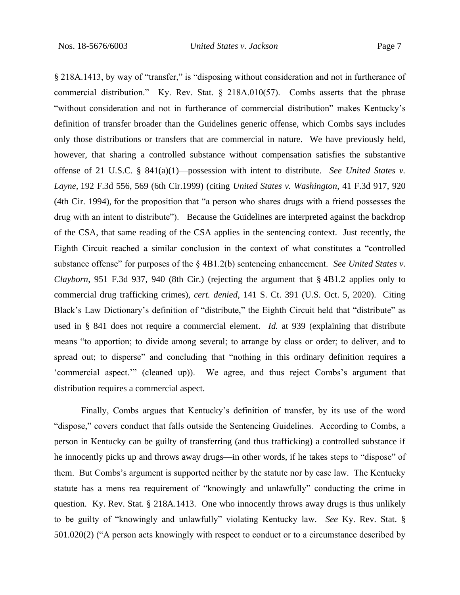§ 218A.1413, by way of "transfer," is "disposing without consideration and not in furtherance of commercial distribution." Ky. Rev. Stat. § 218A.010(57). Combs asserts that the phrase "without consideration and not in furtherance of commercial distribution" makes Kentucky's definition of transfer broader than the Guidelines generic offense, which Combs says includes only those distributions or transfers that are commercial in nature. We have previously held, however, that sharing a controlled substance without compensation satisfies the substantive offense of 21 U.S.C. § 841(a)(1)—possession with intent to distribute. *See United States v. Layne,* 192 F.3d 556, 569 (6th Cir.1999) (citing *United States v. Washington*, 41 F.3d 917, 920 (4th Cir. 1994), for the proposition that "a person who shares drugs with a friend possesses the drug with an intent to distribute"). Because the Guidelines are interpreted against the backdrop of the CSA, that same reading of the CSA applies in the sentencing context. Just recently, the Eighth Circuit reached a similar conclusion in the context of what constitutes a "controlled substance offense" for purposes of the § 4B1.2(b) sentencing enhancement. *See United States v. Clayborn*, 951 F.3d 937, 940 (8th Cir.) (rejecting the argument that § 4B1.2 applies only to commercial drug trafficking crimes), *cert. denied*, 141 S. Ct. 391 (U.S. Oct. 5, 2020). Citing Black's Law Dictionary's definition of "distribute," the Eighth Circuit held that "distribute" as used in § 841 does not require a commercial element. *Id.* at 939 (explaining that distribute means "to apportion; to divide among several; to arrange by class or order; to deliver, and to spread out; to disperse" and concluding that "nothing in this ordinary definition requires a 'commercial aspect.'" (cleaned up)). We agree, and thus reject Combs's argument that distribution requires a commercial aspect.

Finally, Combs argues that Kentucky's definition of transfer, by its use of the word "dispose," covers conduct that falls outside the Sentencing Guidelines. According to Combs, a person in Kentucky can be guilty of transferring (and thus trafficking) a controlled substance if he innocently picks up and throws away drugs—in other words, if he takes steps to "dispose" of them. But Combs's argument is supported neither by the statute nor by case law. The Kentucky statute has a mens rea requirement of "knowingly and unlawfully" conducting the crime in question. Ky. Rev. Stat. § 218A.1413. One who innocently throws away drugs is thus unlikely to be guilty of "knowingly and unlawfully" violating Kentucky law. *See* Ky. Rev. Stat. § 501.020(2) ("A person acts knowingly with respect to conduct or to a circumstance described by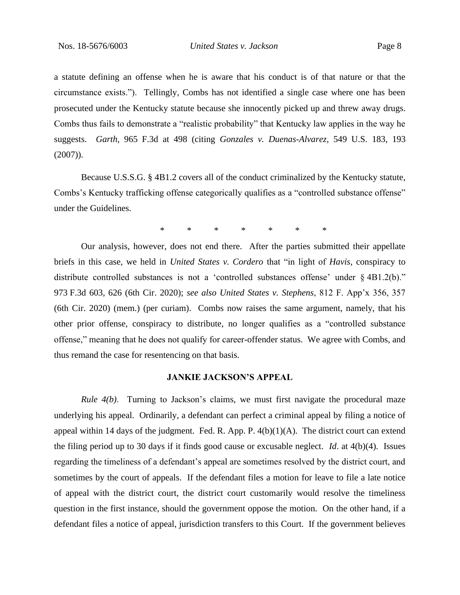a statute defining an offense when he is aware that his conduct is of that nature or that the circumstance exists."). Tellingly, Combs has not identified a single case where one has been prosecuted under the Kentucky statute because she innocently picked up and threw away drugs. Combs thus fails to demonstrate a "realistic probability" that Kentucky law applies in the way he suggests. *Garth*, 965 F.3d at 498 (citing *Gonzales v. Duenas-Alvarez*, 549 U.S. 183, 193  $(2007)$ ).

Because U.S.S.G. § 4B1.2 covers all of the conduct criminalized by the Kentucky statute, Combs's Kentucky trafficking offense categorically qualifies as a "controlled substance offense" under the Guidelines.

\* \* \* \* \* \* \*

Our analysis, however, does not end there. After the parties submitted their appellate briefs in this case, we held in *United States v. Cordero* that "in light of *Havis*, conspiracy to distribute controlled substances is not a 'controlled substances offense' under § 4B1.2(b)." 973 F.3d 603, 626 (6th Cir. 2020); *see also United States v. Stephens*, 812 F. App'x 356, 357 (6th Cir. 2020) (mem.) (per curiam). Combs now raises the same argument, namely, that his other prior offense, conspiracy to distribute, no longer qualifies as a "controlled substance offense," meaning that he does not qualify for career-offender status. We agree with Combs, and thus remand the case for resentencing on that basis.

#### **JANKIE JACKSON'S APPEAL**

*Rule 4(b)*. Turning to Jackson's claims, we must first navigate the procedural maze underlying his appeal. Ordinarily, a defendant can perfect a criminal appeal by filing a notice of appeal within 14 days of the judgment. Fed. R. App. P.  $4(b)(1)(A)$ . The district court can extend the filing period up to 30 days if it finds good cause or excusable neglect. *Id*. at 4(b)(4). Issues regarding the timeliness of a defendant's appeal are sometimes resolved by the district court, and sometimes by the court of appeals. If the defendant files a motion for leave to file a late notice of appeal with the district court, the district court customarily would resolve the timeliness question in the first instance, should the government oppose the motion. On the other hand, if a defendant files a notice of appeal, jurisdiction transfers to this Court. If the government believes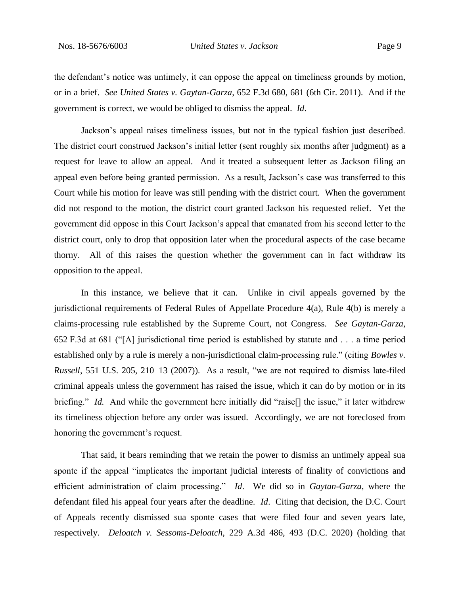the defendant's notice was untimely, it can oppose the appeal on timeliness grounds by motion, or in a brief. *See United States v. Gaytan-Garza*, 652 F.3d 680, 681 (6th Cir. 2011). And if the government is correct, we would be obliged to dismiss the appeal. *Id*.

Jackson's appeal raises timeliness issues, but not in the typical fashion just described. The district court construed Jackson's initial letter (sent roughly six months after judgment) as a request for leave to allow an appeal. And it treated a subsequent letter as Jackson filing an appeal even before being granted permission. As a result, Jackson's case was transferred to this Court while his motion for leave was still pending with the district court. When the government did not respond to the motion, the district court granted Jackson his requested relief. Yet the government did oppose in this Court Jackson's appeal that emanated from his second letter to the district court, only to drop that opposition later when the procedural aspects of the case became thorny. All of this raises the question whether the government can in fact withdraw its opposition to the appeal.

In this instance, we believe that it can. Unlike in civil appeals governed by the jurisdictional requirements of Federal Rules of Appellate Procedure 4(a), Rule 4(b) is merely a claims-processing rule established by the Supreme Court, not Congress. *See Gaytan-Garza*, 652 F.3d at 681 ("[A] jurisdictional time period is established by statute and . . . a time period established only by a rule is merely a non-jurisdictional claim-processing rule." (citing *Bowles v. Russell*, 551 U.S. 205, 210–13 (2007)). As a result, "we are not required to dismiss late-filed criminal appeals unless the government has raised the issue, which it can do by motion or in its briefing." *Id.* And while the government here initially did "raise<sup>[]</sup> the issue," it later withdrew its timeliness objection before any order was issued. Accordingly, we are not foreclosed from honoring the government's request.

That said, it bears reminding that we retain the power to dismiss an untimely appeal sua sponte if the appeal "implicates the important judicial interests of finality of convictions and efficient administration of claim processing." *Id*. We did so in *Gaytan-Garza*, where the defendant filed his appeal four years after the deadline. *Id*. Citing that decision, the D.C. Court of Appeals recently dismissed sua sponte cases that were filed four and seven years late, respectively. *Deloatch v. Sessoms-Deloatch*, 229 A.3d 486, 493 (D.C. 2020) (holding that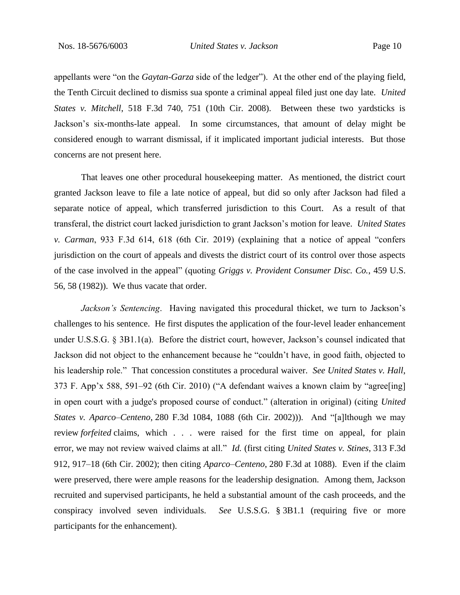appellants were "on the *Gaytan-Garza* side of the ledger"). At the other end of the playing field, the Tenth Circuit declined to dismiss sua sponte a criminal appeal filed just one day late. *United States v. Mitchell*, 518 F.3d 740, 751 (10th Cir. 2008). Between these two yardsticks is Jackson's six-months-late appeal. In some circumstances, that amount of delay might be considered enough to warrant dismissal, if it implicated important judicial interests. But those concerns are not present here.

That leaves one other procedural housekeeping matter. As mentioned, the district court granted Jackson leave to file a late notice of appeal, but did so only after Jackson had filed a separate notice of appeal, which transferred jurisdiction to this Court. As a result of that transferal, the district court lacked jurisdiction to grant Jackson's motion for leave. *United States v. Carman*, 933 F.3d 614, 618 (6th Cir. 2019) (explaining that a notice of appeal "confers jurisdiction on the court of appeals and divests the district court of its control over those aspects of the case involved in the appeal" (quoting *Griggs v. Provident Consumer Disc. Co.*, 459 U.S. 56, 58 (1982)). We thus vacate that order.

*Jackson's Sentencing*. Having navigated this procedural thicket, we turn to Jackson's challenges to his sentence. He first disputes the application of the four-level leader enhancement under U.S.S.G. § 3B1.1(a). Before the district court, however, Jackson's counsel indicated that Jackson did not object to the enhancement because he "couldn't have, in good faith, objected to his leadership role." That concession constitutes a procedural waiver. *See United States v. Hall*, 373 F. App'x 588, 591–92 (6th Cir. 2010) ("A defendant waives a known claim by "agree[ing] in open court with a judge's proposed course of conduct." (alteration in original) (citing *United States v. Aparco–Centeno*, 280 F.3d 1084, 1088 (6th Cir. 2002))). And "[a]lthough we may review *forfeited* claims, which . . . were raised for the first time on appeal, for plain error, we may not review waived claims at all." *Id.* (first citing *United States v. Stines*, 313 F.3d 912, 917–18 (6th Cir. 2002); then citing *Aparco–Centeno*, 280 F.3d at 1088). Even if the claim were preserved, there were ample reasons for the leadership designation. Among them, Jackson recruited and supervised participants, he held a substantial amount of the cash proceeds, and the conspiracy involved seven individuals. *See* U.S.S.G. § 3B1.1 (requiring five or more participants for the enhancement).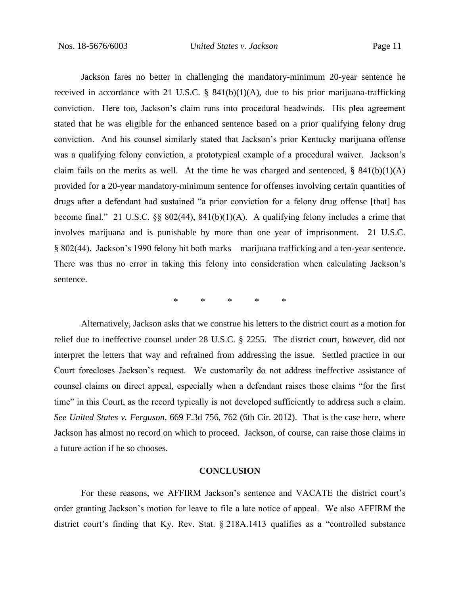Jackson fares no better in challenging the mandatory-minimum 20-year sentence he received in accordance with 21 U.S.C. §  $841(b)(1)(A)$ , due to his prior marijuana-trafficking conviction. Here too, Jackson's claim runs into procedural headwinds. His plea agreement stated that he was eligible for the enhanced sentence based on a prior qualifying felony drug conviction. And his counsel similarly stated that Jackson's prior Kentucky marijuana offense was a qualifying felony conviction, a prototypical example of a procedural waiver. Jackson's claim fails on the merits as well. At the time he was charged and sentenced,  $\S$  841(b)(1)(A) provided for a 20-year mandatory-minimum sentence for offenses involving certain quantities of drugs after a defendant had sustained "a prior conviction for a felony drug offense [that] has become final." 21 U.S.C.  $\S$ § 802(44), 841(b)(1)(A). A qualifying felony includes a crime that involves marijuana and is punishable by more than one year of imprisonment. 21 U.S.C. § 802(44). Jackson's 1990 felony hit both marks—marijuana trafficking and a ten-year sentence. There was thus no error in taking this felony into consideration when calculating Jackson's sentence.

\* \* \* \* \*

Alternatively, Jackson asks that we construe his letters to the district court as a motion for relief due to ineffective counsel under 28 U.S.C. § 2255. The district court, however, did not interpret the letters that way and refrained from addressing the issue. Settled practice in our Court forecloses Jackson's request. We customarily do not address ineffective assistance of counsel claims on direct appeal, especially when a defendant raises those claims "for the first time" in this Court, as the record typically is not developed sufficiently to address such a claim*. See United States v. Ferguson*, 669 F.3d 756, 762 (6th Cir. 2012).That is the case here, where Jackson has almost no record on which to proceed. Jackson, of course, can raise those claims in a future action if he so chooses.

# **CONCLUSION**

For these reasons, we AFFIRM Jackson's sentence and VACATE the district court's order granting Jackson's motion for leave to file a late notice of appeal. We also AFFIRM the district court's finding that Ky. Rev. Stat. § 218A.1413 qualifies as a "controlled substance